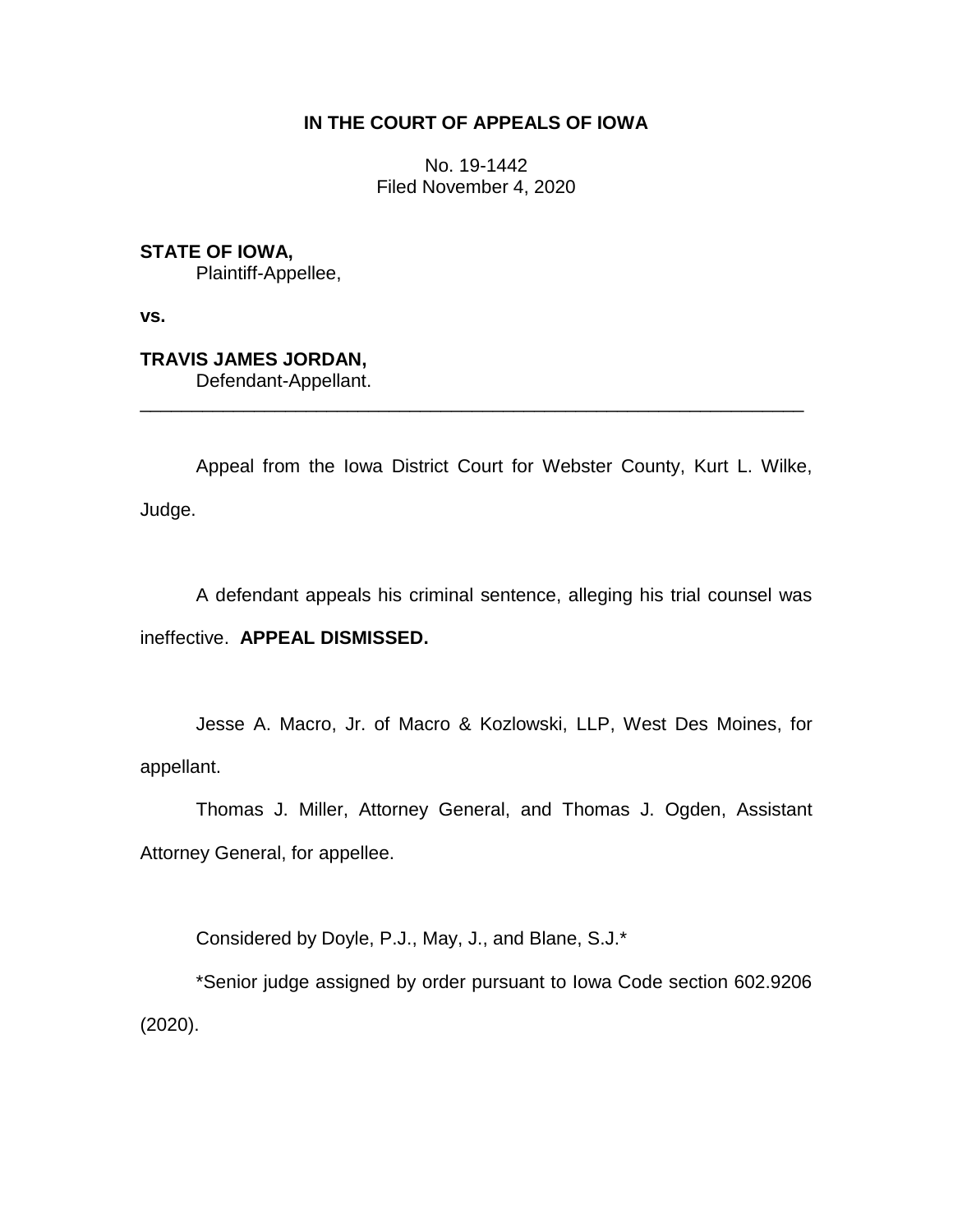# **IN THE COURT OF APPEALS OF IOWA**

No. 19-1442 Filed November 4, 2020

**STATE OF IOWA,** Plaintiff-Appellee,

**vs.**

**TRAVIS JAMES JORDAN,** Defendant-Appellant.

Appeal from the Iowa District Court for Webster County, Kurt L. Wilke, Judge.

\_\_\_\_\_\_\_\_\_\_\_\_\_\_\_\_\_\_\_\_\_\_\_\_\_\_\_\_\_\_\_\_\_\_\_\_\_\_\_\_\_\_\_\_\_\_\_\_\_\_\_\_\_\_\_\_\_\_\_\_\_\_\_\_

A defendant appeals his criminal sentence, alleging his trial counsel was ineffective. **APPEAL DISMISSED.**

Jesse A. Macro, Jr. of Macro & Kozlowski, LLP, West Des Moines, for appellant.

Thomas J. Miller, Attorney General, and Thomas J. Ogden, Assistant Attorney General, for appellee.

Considered by Doyle, P.J., May, J., and Blane, S.J.\*

\*Senior judge assigned by order pursuant to Iowa Code section 602.9206 (2020).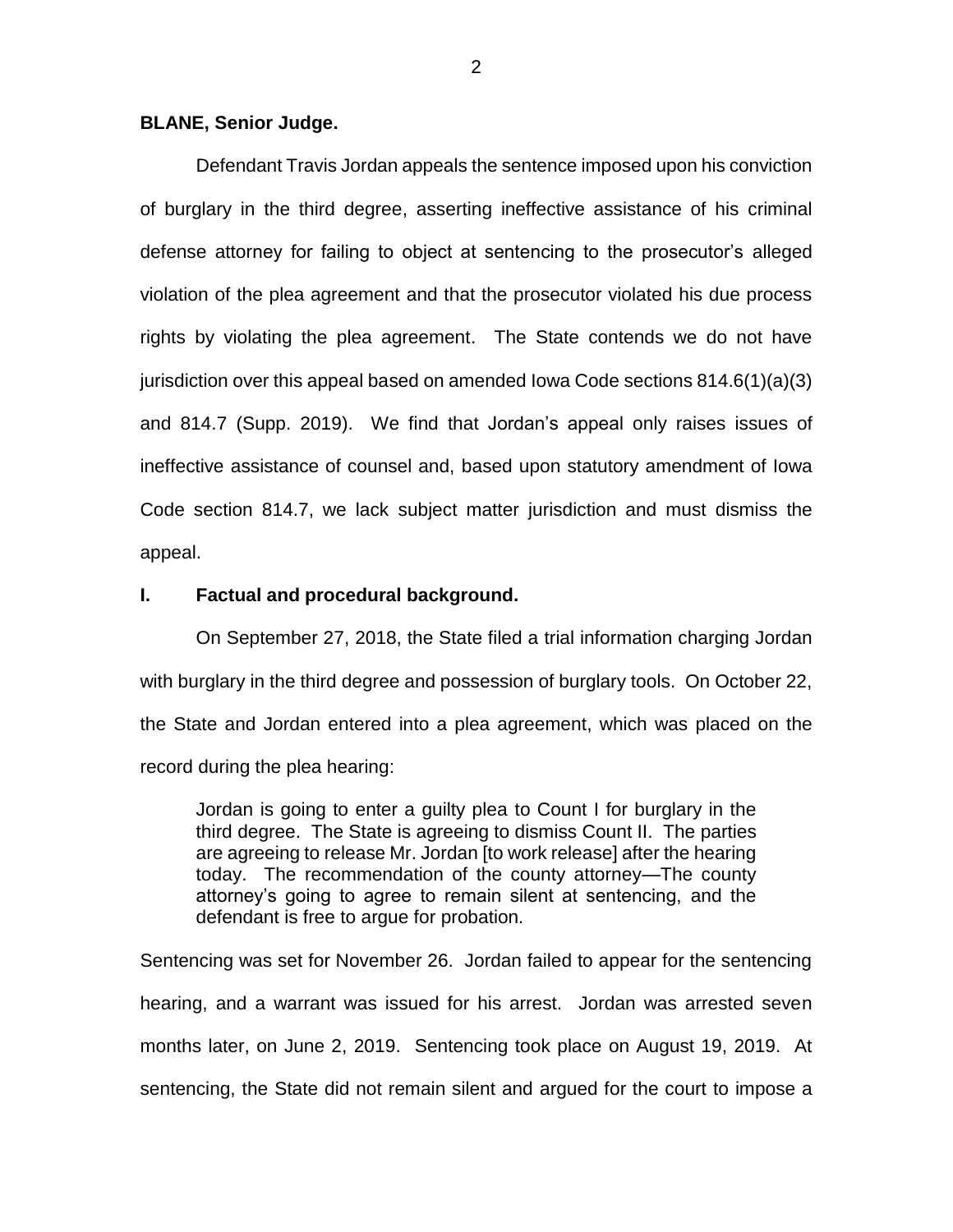#### **BLANE, Senior Judge.**

Defendant Travis Jordan appeals the sentence imposed upon his conviction of burglary in the third degree, asserting ineffective assistance of his criminal defense attorney for failing to object at sentencing to the prosecutor's alleged violation of the plea agreement and that the prosecutor violated his due process rights by violating the plea agreement. The State contends we do not have jurisdiction over this appeal based on amended Iowa Code sections 814.6(1)(a)(3) and 814.7 (Supp. 2019). We find that Jordan's appeal only raises issues of ineffective assistance of counsel and, based upon statutory amendment of Iowa Code section 814.7, we lack subject matter jurisdiction and must dismiss the appeal.

#### **I. Factual and procedural background.**

On September 27, 2018, the State filed a trial information charging Jordan with burglary in the third degree and possession of burglary tools. On October 22, the State and Jordan entered into a plea agreement, which was placed on the record during the plea hearing:

Jordan is going to enter a guilty plea to Count I for burglary in the third degree. The State is agreeing to dismiss Count II. The parties are agreeing to release Mr. Jordan [to work release] after the hearing today. The recommendation of the county attorney—The county attorney's going to agree to remain silent at sentencing, and the defendant is free to argue for probation*.*

Sentencing was set for November 26. Jordan failed to appear for the sentencing hearing, and a warrant was issued for his arrest. Jordan was arrested seven months later, on June 2, 2019. Sentencing took place on August 19, 2019. At sentencing, the State did not remain silent and argued for the court to impose a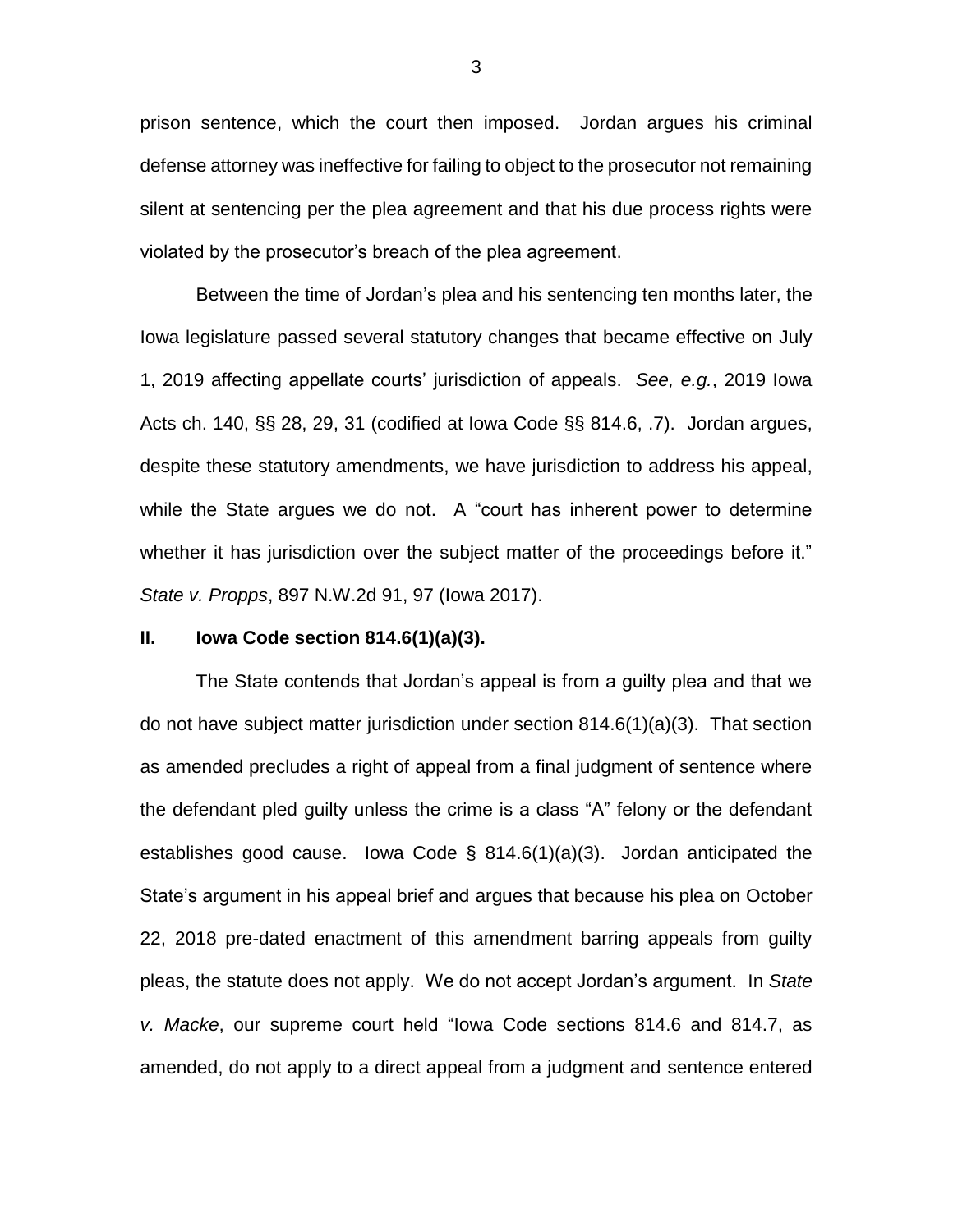prison sentence, which the court then imposed. Jordan argues his criminal defense attorney was ineffective for failing to object to the prosecutor not remaining silent at sentencing per the plea agreement and that his due process rights were violated by the prosecutor's breach of the plea agreement.

Between the time of Jordan's plea and his sentencing ten months later, the Iowa legislature passed several statutory changes that became effective on July 1, 2019 affecting appellate courts' jurisdiction of appeals. *See, e.g.*, 2019 Iowa Acts ch. 140, §§ 28, 29, 31 (codified at Iowa Code §§ 814.6, .7). Jordan argues, despite these statutory amendments, we have jurisdiction to address his appeal, while the State argues we do not. A "court has inherent power to determine whether it has jurisdiction over the subject matter of the proceedings before it." *State v. Propps*, 897 N.W.2d 91, 97 (Iowa 2017).

### **II. Iowa Code section 814.6(1)(a)(3).**

The State contends that Jordan's appeal is from a guilty plea and that we do not have subject matter jurisdiction under section 814.6(1)(a)(3). That section as amended precludes a right of appeal from a final judgment of sentence where the defendant pled guilty unless the crime is a class "A" felony or the defendant establishes good cause. Iowa Code § 814.6(1)(a)(3). Jordan anticipated the State's argument in his appeal brief and argues that because his plea on October 22, 2018 pre-dated enactment of this amendment barring appeals from guilty pleas, the statute does not apply. We do not accept Jordan's argument. In *State v. Macke*, our supreme court held "Iowa Code sections 814.6 and 814.7, as amended, do not apply to a direct appeal from a judgment and sentence entered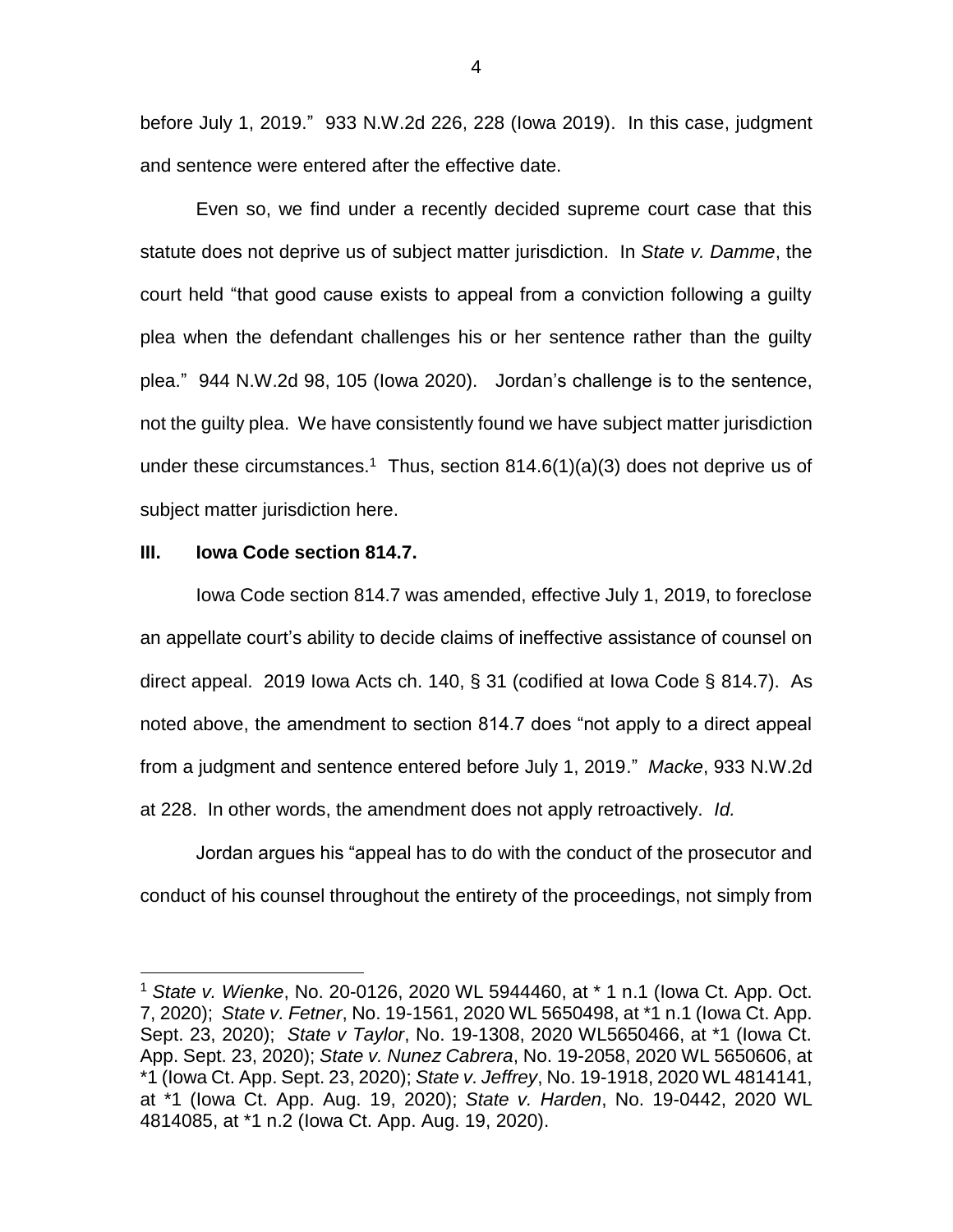before July 1, 2019." 933 N.W.2d 226, 228 (Iowa 2019). In this case, judgment and sentence were entered after the effective date.

Even so, we find under a recently decided supreme court case that this statute does not deprive us of subject matter jurisdiction. In *State v. Damme*, the court held "that good cause exists to appeal from a conviction following a guilty plea when the defendant challenges his or her sentence rather than the guilty plea." 944 N.W.2d 98, 105 (Iowa 2020). Jordan's challenge is to the sentence, not the guilty plea. We have consistently found we have subject matter jurisdiction under these circumstances.<sup>1</sup> Thus, section  $814.6(1)(a)(3)$  does not deprive us of subject matter jurisdiction here.

#### **III. Iowa Code section 814.7.**

 $\overline{a}$ 

Iowa Code section 814.7 was amended, effective July 1, 2019, to foreclose an appellate court's ability to decide claims of ineffective assistance of counsel on direct appeal. 2019 Iowa Acts ch. 140, § 31 (codified at Iowa Code § 814.7). As noted above, the amendment to section 814.7 does "not apply to a direct appeal from a judgment and sentence entered before July 1, 2019." *Macke*, 933 N.W.2d at 228. In other words, the amendment does not apply retroactively. *Id.*

Jordan argues his "appeal has to do with the conduct of the prosecutor and conduct of his counsel throughout the entirety of the proceedings, not simply from

<sup>1</sup> *State v. Wienke*, No. 20-0126, 2020 WL 5944460, at \* 1 n.1 (Iowa Ct. App. Oct. 7, 2020); *State v. Fetner*, No. 19-1561, 2020 WL 5650498, at \*1 n.1 (Iowa Ct. App. Sept. 23, 2020); *State v Taylor*, No. 19-1308, 2020 WL5650466, at \*1 (Iowa Ct. App. Sept. 23, 2020); *State v. Nunez Cabrera*, No. 19-2058, 2020 WL 5650606, at \*1 (Iowa Ct. App. Sept. 23, 2020); *State v. Jeffrey*, No. 19-1918, 2020 WL 4814141, at \*1 (Iowa Ct. App. Aug. 19, 2020); *State v. Harden*, No. 19-0442, 2020 WL 4814085, at \*1 n.2 (Iowa Ct. App. Aug. 19, 2020).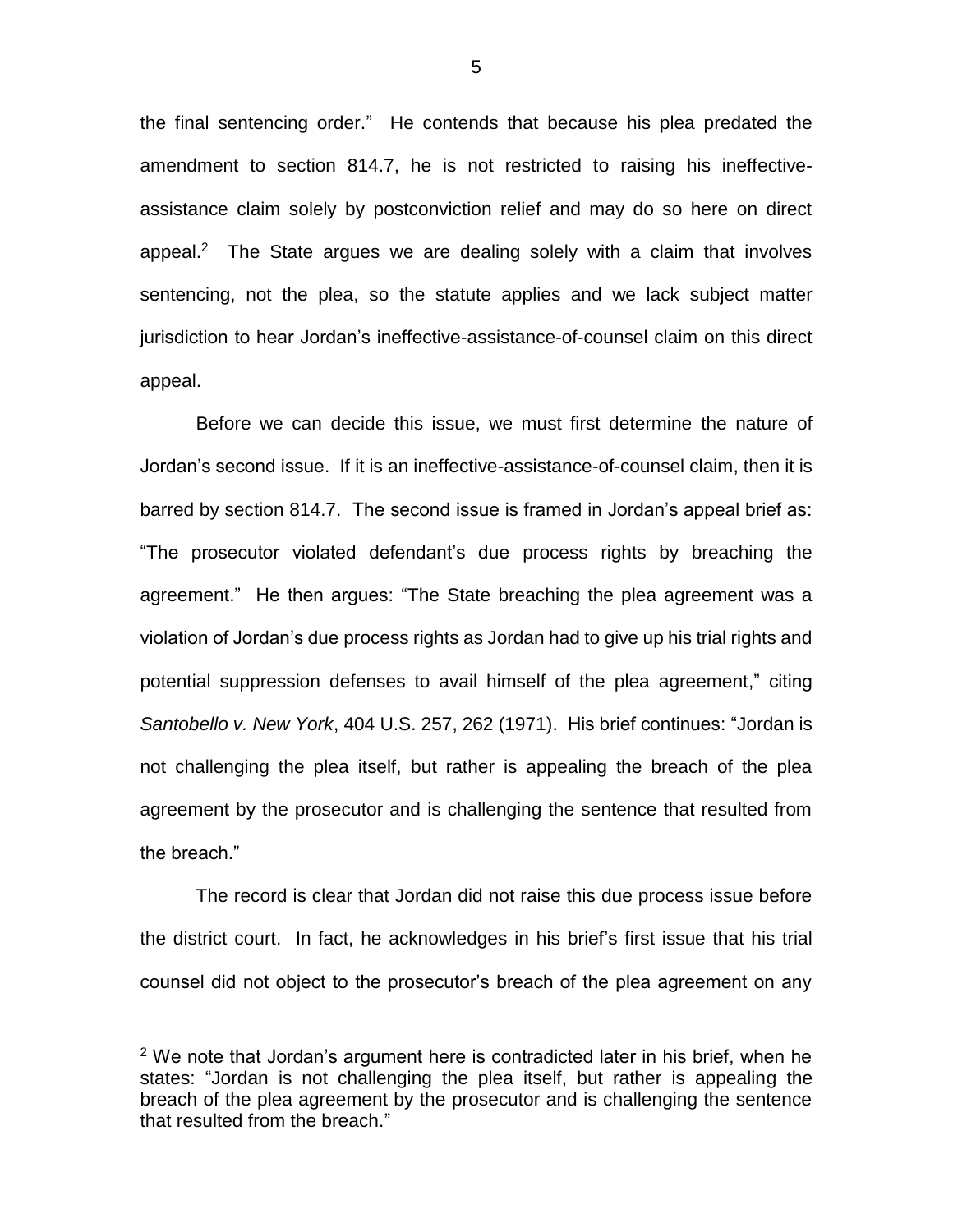the final sentencing order." He contends that because his plea predated the amendment to section 814.7, he is not restricted to raising his ineffectiveassistance claim solely by postconviction relief and may do so here on direct appeal.<sup>2</sup> The State argues we are dealing solely with a claim that involves sentencing, not the plea, so the statute applies and we lack subject matter jurisdiction to hear Jordan's ineffective-assistance-of-counsel claim on this direct appeal.

Before we can decide this issue, we must first determine the nature of Jordan's second issue. If it is an ineffective-assistance-of-counsel claim, then it is barred by section 814.7. The second issue is framed in Jordan's appeal brief as: "The prosecutor violated defendant's due process rights by breaching the agreement." He then argues: "The State breaching the plea agreement was a violation of Jordan's due process rights as Jordan had to give up his trial rights and potential suppression defenses to avail himself of the plea agreement," citing *Santobello v. New York*, 404 U.S. 257, 262 (1971). His brief continues: "Jordan is not challenging the plea itself, but rather is appealing the breach of the plea agreement by the prosecutor and is challenging the sentence that resulted from the breach."

The record is clear that Jordan did not raise this due process issue before the district court. In fact, he acknowledges in his brief's first issue that his trial counsel did not object to the prosecutor's breach of the plea agreement on any

 $\overline{a}$ 

 $2$  We note that Jordan's argument here is contradicted later in his brief, when he states: "Jordan is not challenging the plea itself, but rather is appealing the breach of the plea agreement by the prosecutor and is challenging the sentence that resulted from the breach."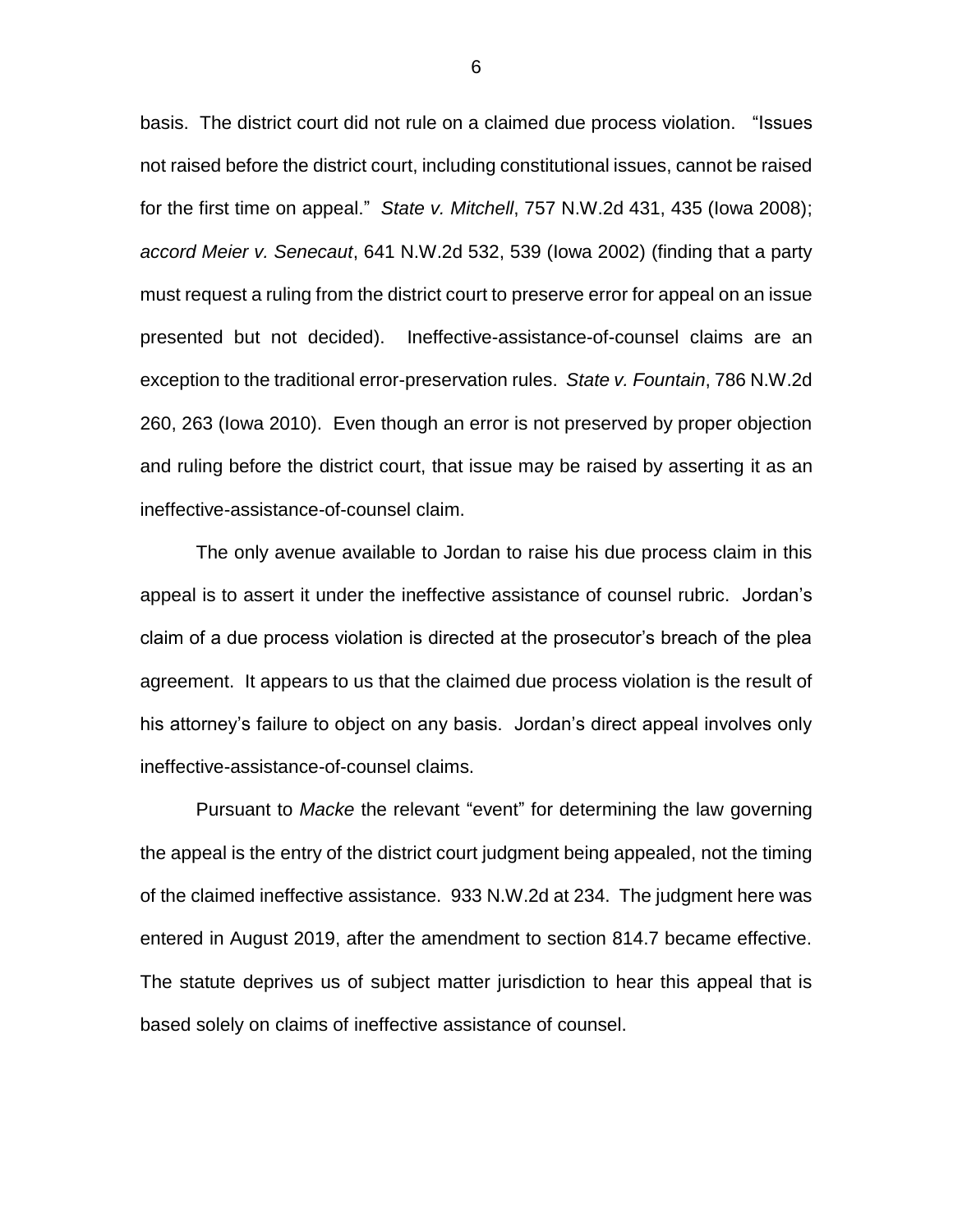basis. The district court did not rule on a claimed due process violation. "Issues not raised before the district court, including constitutional issues, cannot be raised for the first time on appeal." *State v. Mitchell*, 757 N.W.2d 431, 435 (Iowa 2008); *accord Meier v. Senecaut*, 641 N.W.2d 532, 539 (Iowa 2002) (finding that a party must request a ruling from the district court to preserve error for appeal on an issue presented but not decided). Ineffective-assistance-of-counsel claims are an exception to the traditional error-preservation rules. *State v. Fountain*, 786 N.W.2d 260, 263 (Iowa 2010). Even though an error is not preserved by proper objection and ruling before the district court, that issue may be raised by asserting it as an ineffective-assistance-of-counsel claim.

The only avenue available to Jordan to raise his due process claim in this appeal is to assert it under the ineffective assistance of counsel rubric. Jordan's claim of a due process violation is directed at the prosecutor's breach of the plea agreement. It appears to us that the claimed due process violation is the result of his attorney's failure to object on any basis. Jordan's direct appeal involves only ineffective-assistance-of-counsel claims.

Pursuant to *Macke* the relevant "event" for determining the law governing the appeal is the entry of the district court judgment being appealed, not the timing of the claimed ineffective assistance. 933 N.W.2d at 234. The judgment here was entered in August 2019, after the amendment to section 814.7 became effective. The statute deprives us of subject matter jurisdiction to hear this appeal that is based solely on claims of ineffective assistance of counsel.

6